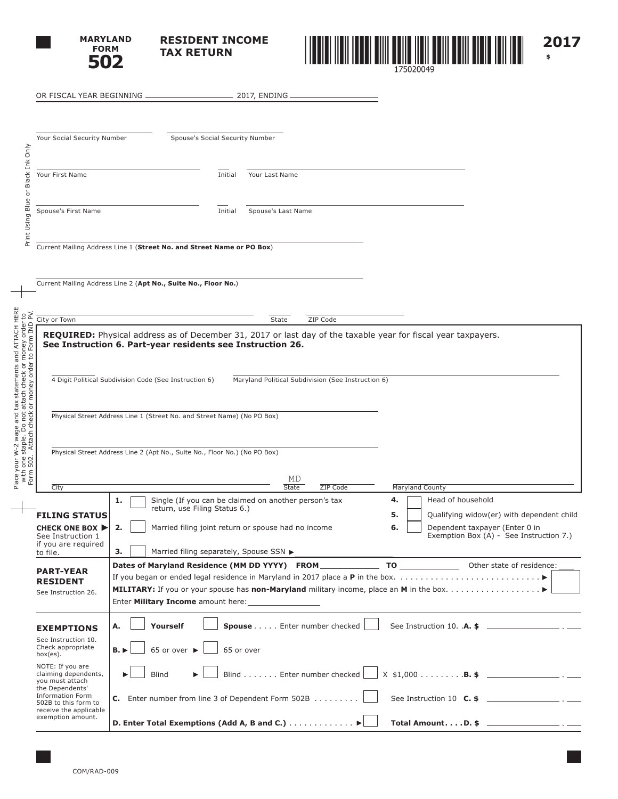

**RESIDENT INCOME TAX RETURN**



OR FISCAL YEAR BEGINNING 2017, ENDING Your Social Security Number Spouse's Social Security Number Only Print Using Blue or Black Ink Only Blue or Black Ink Your First Name **Initial Your Last Name** Spouse's First Name **Initial** Spouse's Last Name Print Using Current Mailing Address Line 1 (**Street No. and Street Name or PO Box**) Current Mailing Address Line 2 (**Apt No., Suite No., Floor No.**) 요도 Form 502. Attach check or money order to Form IND PV.City or Town State 2IP Code order<br>n IND **REQUIRED:** Physical address as of December 31, 2017 or last day of the taxable year for fiscal year taxpayers. money or<br>to Form **See Instruction 6. Part-year residents see Instruction 26.** 1 tax statements ar<br>t attach check or n<br>k or money order t 4 Digit Political Subdivision Code (See Instruction 6) Maryland Political Subdivision (See Instruction 6) r W-2 wage and t:<br>e staple. Do not a<br>2. Attach check o Physical Street Address Line 1 (Street No. and Street Name) (No PO Box) Physical Street Address Line 2 (Apt No., Suite No., Floor No.) (No PO Box) with one s<br>Form 502. MD City **State ZIP Code Maryland County** City 4. **Head of household 1.** Single (If you can be claimed on another person's tax return, use Filing Status 6.) **5.** Qualifying widow(er) with dependent child **FILING STATUS 6. Dependent taxpayer (Enter 0 in CHECK ONE BOX 2.** | Married filing joint return or spouse had no income Exemption Box (A) - See Instruction 7.) See Instruction 1 if you are required **3.** | Married filing separately, Spouse SSN to file. **Dates of Maryland Residence (MM DD YYYY) FROM TO TO** Other state of residence: **PART-YEAR**  If you began or ended legal residence in Maryland in 2017 place a **P** in the box.. . . **RESIDENT MILITARY:** If you or your spouse has **non-Maryland** military income, place an **M** in the box.. . . See Instruction 26. Enter **Military Income** amount here: **A.** Yourself Spouse . . . . Enter number checked See Instruction 10. . A. \$ **EXEMPTIONS** See Instruction 10. Check appropriate  $\mathbf{B.}$   $\triangleright$  65 or over  $\triangleright$  65 or over box(es). NOTE: If you are claiming dependents, Blind  $\mathbf{B}$  | Blind....... Enter number checked |  $\mathbf{X}$  \$1,000........... you must attach the Dependents' Information Form **C.** Enter number from line 3 of Dependent Form 502B  $\ldots$ ....... See Instruction 10  $\ldots$ 502B to this form to receive the applicable exemption amount. **D.** Enter Total Exemptions (Add A, B and C.) . . . . . . . . . . . ▶ │ │ Total Amount. . . . D. \$ \_

Place your W-2 wage and tax statements and ATTACH HERE with one staple. Do not attach check or money order to

your \ Place y

and ATTACH HERE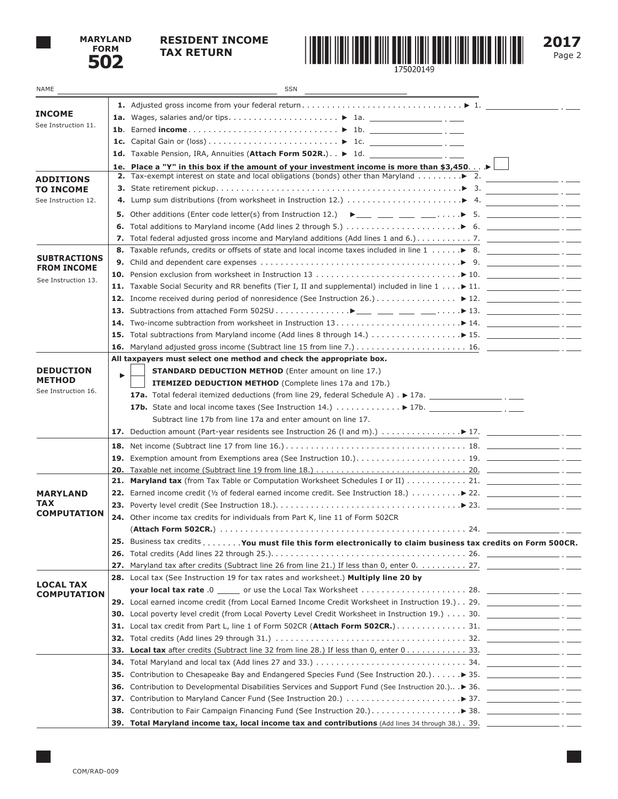

## **RESIDENT INCOME**



**2017**

| NAME                                      |     | SSN                                                                                                                                                             |                                     |
|-------------------------------------------|-----|-----------------------------------------------------------------------------------------------------------------------------------------------------------------|-------------------------------------|
|                                           |     |                                                                                                                                                                 |                                     |
| <b>INCOME</b>                             |     |                                                                                                                                                                 |                                     |
| See Instruction 11.                       |     |                                                                                                                                                                 |                                     |
|                                           |     |                                                                                                                                                                 |                                     |
|                                           |     |                                                                                                                                                                 |                                     |
|                                           |     | 1e. Place a "Y" in this box if the amount of your investment income is more than \$3,450 $\blacktriangleright$                                                  |                                     |
| <b>ADDITIONS</b>                          |     |                                                                                                                                                                 |                                     |
| <b>TO INCOME</b>                          |     |                                                                                                                                                                 | the contract of the contract of the |
| See Instruction 12.                       |     | 4. Lump sum distributions (from worksheet in Instruction 12.) $\ldots \ldots \ldots \ldots \ldots \qquad 4.$                                                    |                                     |
|                                           |     | <b>5.</b> Other additions (Enter code letter(s) from Instruction 12.) $\rightarrow \_\_\_\_\_\_\_\_\_\_\_\_\_\_\_\_$ .                                          |                                     |
|                                           |     | 6. Total additions to Maryland income (Add lines 2 through 5.) $\ldots \ldots \ldots \ldots \ldots \ldots$ $\triangleright$ 6. $\ldots$                         |                                     |
|                                           |     |                                                                                                                                                                 |                                     |
|                                           |     | 8. Taxable refunds, credits or offsets of state and local income taxes included in line 1  > 8.                                                                 |                                     |
| <b>SUBTRACTIONS</b><br><b>FROM INCOME</b> |     | 9. Child and dependent care expenses $\dots\dots\dots\dots\dots\dots\dots\dots\dots\dots\dots\dots\dots\dots$ > 9. $\_\_\_\_\_\_\_\_\_\_\_\_\_\_\_\_\_\_\_\_$ . |                                     |
| See Instruction 13.                       |     |                                                                                                                                                                 |                                     |
|                                           |     | 11. Taxable Social Security and RR benefits (Tier I, II and supplemental) included in line 1 ▶ 11. ______________________ . ____                                |                                     |
|                                           |     | 12. Income received during period of nonresidence (See Instruction 26.) ▶ 12. _________________ . _____                                                         |                                     |
|                                           |     |                                                                                                                                                                 |                                     |
|                                           |     |                                                                                                                                                                 |                                     |
|                                           |     | 15. Total subtractions from Maryland income (Add lines 8 through 14.) ▶ 15. __________________ . ____                                                           |                                     |
|                                           |     |                                                                                                                                                                 |                                     |
|                                           |     | All taxpayers must select one method and check the appropriate box.                                                                                             |                                     |
| <b>DEDUCTION</b><br><b>METHOD</b>         | ▶   | <b>STANDARD DEDUCTION METHOD</b> (Enter amount on line 17.)                                                                                                     |                                     |
| See Instruction 16.                       |     | <b>ITEMIZED DEDUCTION METHOD</b> (Complete lines 17a and 17b.)                                                                                                  |                                     |
|                                           |     | <b>17a.</b> Total federal itemized deductions (from line 29, federal Schedule A) $\cdot \blacktriangleright$ 17a.                                               |                                     |
|                                           |     |                                                                                                                                                                 |                                     |
|                                           |     | Subtract line 17b from line 17a and enter amount on line 17.                                                                                                    |                                     |
|                                           |     |                                                                                                                                                                 |                                     |
|                                           |     |                                                                                                                                                                 |                                     |
|                                           |     |                                                                                                                                                                 |                                     |
|                                           |     |                                                                                                                                                                 |                                     |
|                                           |     |                                                                                                                                                                 |                                     |
| <b>MARYLAND</b><br>TAX                    |     |                                                                                                                                                                 |                                     |
| <b>COMPUTATION</b>                        |     | 23. Poverty level credit (See Instruction 18.). $\ldots \ldots \ldots \ldots \ldots \ldots \ldots \ldots \ldots \ldots \ldots \vdash 23.$                       |                                     |
|                                           |     | 24. Other income tax credits for individuals from Part K, line 11 of Form 502CR                                                                                 |                                     |
|                                           |     |                                                                                                                                                                 |                                     |
|                                           |     | 25. Business tax credits You must file this form electronically to claim business tax credits on Form 500CR.                                                    |                                     |
|                                           |     |                                                                                                                                                                 |                                     |
|                                           |     | 28. Local tax (See Instruction 19 for tax rates and worksheet.) Multiply line 20 by                                                                             |                                     |
| <b>LOCAL TAX</b>                          |     |                                                                                                                                                                 |                                     |
| <b>COMPUTATION</b>                        |     | 29. Local earned income credit (from Local Earned Income Credit Worksheet in Instruction 19.). . 29. ________________.                                          |                                     |
|                                           |     | 30. Local poverty level credit (from Local Poverty Level Credit Worksheet in Instruction 19.) 30. ___________________ . ____                                    |                                     |
|                                           |     |                                                                                                                                                                 |                                     |
|                                           |     |                                                                                                                                                                 |                                     |
|                                           |     | 33. Local tax after credits (Subtract line 32 from line 28.) If less than 0, enter 033.                                                                         |                                     |
|                                           |     |                                                                                                                                                                 |                                     |
|                                           |     |                                                                                                                                                                 |                                     |
|                                           | 36. |                                                                                                                                                                 |                                     |
|                                           |     |                                                                                                                                                                 |                                     |
|                                           |     |                                                                                                                                                                 |                                     |
|                                           |     |                                                                                                                                                                 |                                     |